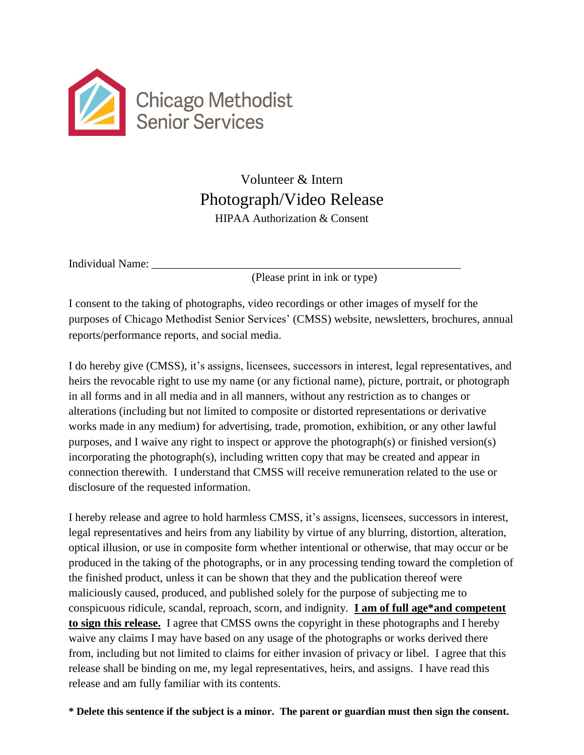

## Volunteer & Intern Photograph/Video Release HIPAA Authorization & Consent

Individual Name:

(Please print in ink or type)

I consent to the taking of photographs, video recordings or other images of myself for the purposes of Chicago Methodist Senior Services' (CMSS) website, newsletters, brochures, annual reports/performance reports, and social media.

I do hereby give (CMSS), it's assigns, licensees, successors in interest, legal representatives, and heirs the revocable right to use my name (or any fictional name), picture, portrait, or photograph in all forms and in all media and in all manners, without any restriction as to changes or alterations (including but not limited to composite or distorted representations or derivative works made in any medium) for advertising, trade, promotion, exhibition, or any other lawful purposes, and I waive any right to inspect or approve the photograph(s) or finished version(s) incorporating the photograph(s), including written copy that may be created and appear in connection therewith. I understand that CMSS will receive remuneration related to the use or disclosure of the requested information.

I hereby release and agree to hold harmless CMSS, it's assigns, licensees, successors in interest, legal representatives and heirs from any liability by virtue of any blurring, distortion, alteration, optical illusion, or use in composite form whether intentional or otherwise, that may occur or be produced in the taking of the photographs, or in any processing tending toward the completion of the finished product, unless it can be shown that they and the publication thereof were maliciously caused, produced, and published solely for the purpose of subjecting me to conspicuous ridicule, scandal, reproach, scorn, and indignity. **I am of full age\*and competent to sign this release.** I agree that CMSS owns the copyright in these photographs and I hereby waive any claims I may have based on any usage of the photographs or works derived there from, including but not limited to claims for either invasion of privacy or libel. I agree that this release shall be binding on me, my legal representatives, heirs, and assigns. I have read this release and am fully familiar with its contents.

**\* Delete this sentence if the subject is a minor. The parent or guardian must then sign the consent.**